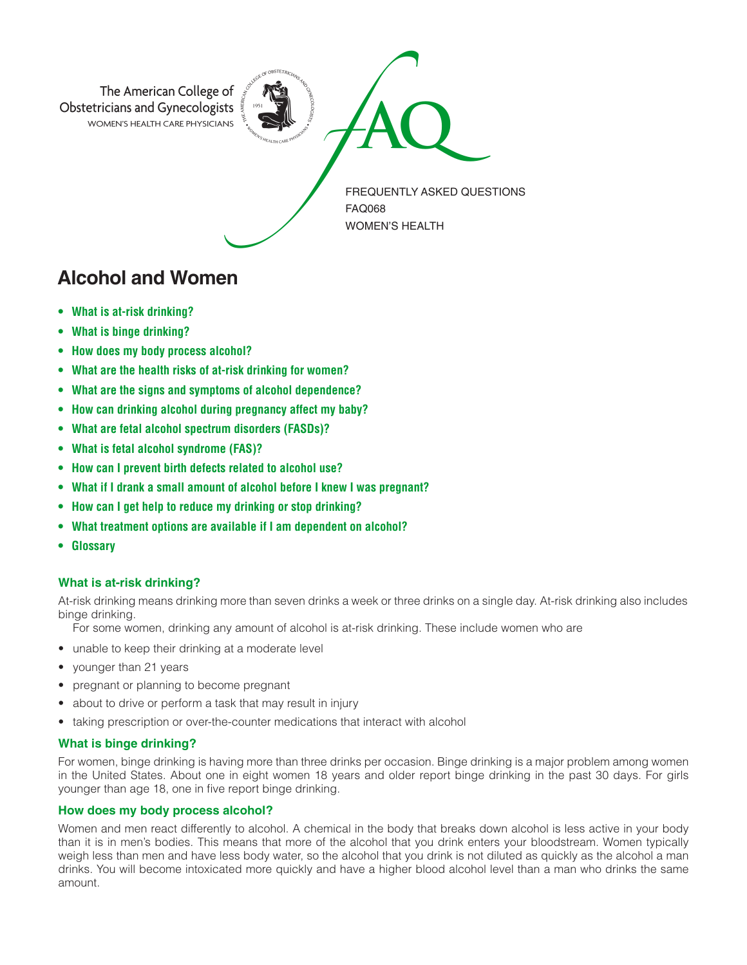

# **Alcohol and Women**

- **• What is at-risk drinking?**
- **• What is binge drinking?**
- **• How does my body process alcohol?**
- **• What are the health risks of at-risk drinking for women?**
- **• What are the signs and symptoms of alcohol dependence?**
- **• How can drinking alcohol during pregnancy affect my baby?**
- **• What are fetal alcohol spectrum disorders (FASDs)?**
- **• What is fetal alcohol syndrome (FAS)?**
- **• How can I prevent birth defects related to alcohol use?**
- **• What if I drank a small amount of alcohol before I knew I was pregnant?**
- **• How can I get help to reduce my drinking or stop drinking?**
- **• What treatment options are available if I am dependent on alcohol?**
- **Glossary**

## **What is at-risk drinking?**

At-risk drinking means drinking more than seven drinks a week or three drinks on a single day. At-risk drinking also includes binge drinking.

For some women, drinking any amount of alcohol is at-risk drinking. These include women who are

- unable to keep their drinking at a moderate level
- younger than 21 years
- pregnant or planning to become pregnant
- about to drive or perform a task that may result in injury
- taking prescription or over-the-counter medications that interact with alcohol

## **What is binge drinking?**

For women, binge drinking is having more than three drinks per occasion. Binge drinking is a major problem among women in the United States. About one in eight women 18 years and older report binge drinking in the past 30 days. For girls younger than age 18, one in five report binge drinking.

# **How does my body process alcohol?**

Women and men react differently to alcohol. A chemical in the body that breaks down alcohol is less active in your body than it is in men's bodies. This means that more of the alcohol that you drink enters your bloodstream. Women typically weigh less than men and have less body water, so the alcohol that you drink is not diluted as quickly as the alcohol a man drinks. You will become intoxicated more quickly and have a higher blood alcohol level than a man who drinks the same amount.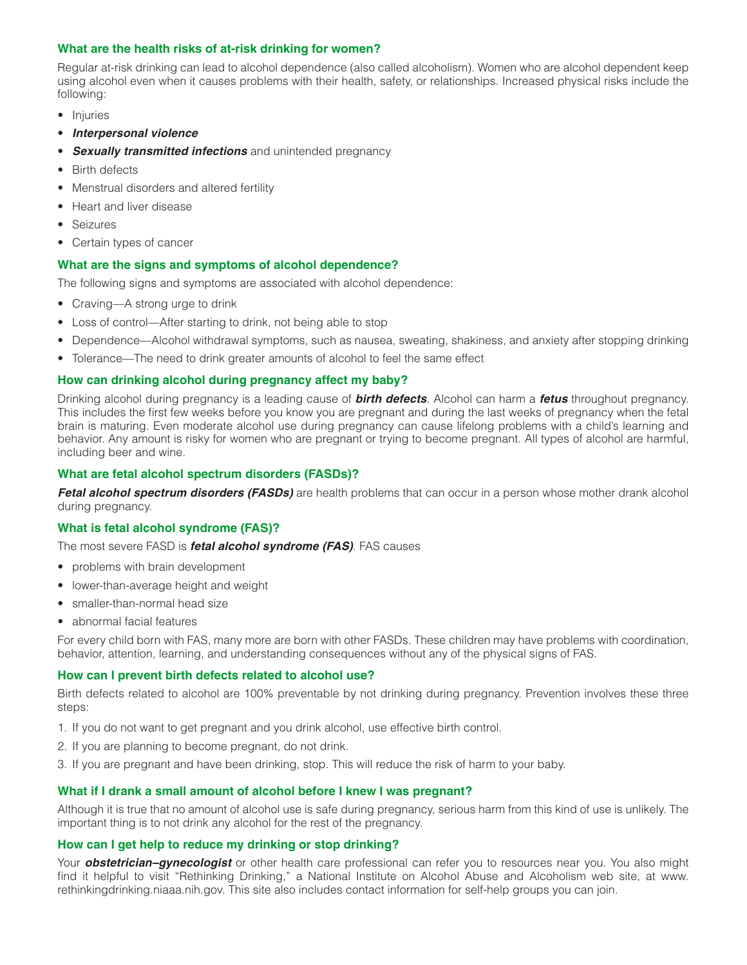## **What are the health risks of at-risk drinking for women?**

Regular at-risk drinking can lead to alcohol dependence (also called alcoholism). Women who are alcohol dependent keep using alcohol even when it causes problems with their health, safety, or relationships. Increased physical risks include the following:

- Injuries
- *Interpersonal violence*
- **Sexually transmitted infections** and unintended pregnancy
- Birth defects
- Menstrual disorders and altered fertility
- Heart and liver disease
- Seizures
- Certain types of cancer

# **What are the signs and symptoms of alcohol dependence?**

The following signs and symptoms are associated with alcohol dependence:

- Craving-A strong urge to drink
- Loss of control—After starting to drink, not being able to stop
- Dependence—Alcohol withdrawal symptoms, such as nausea, sweating, shakiness, and anxiety after stopping drinking
- Tolerance—The need to drink greater amounts of alcohol to feel the same effect

## **How can drinking alcohol during pregnancy affect my baby?**

Drinking alcohol during pregnancy is a leading cause of *birth defects*. Alcohol can harm a *fetus* throughout pregnancy. This includes the first few weeks before you know you are pregnant and during the last weeks of pregnancy when the fetal brain is maturing. Even moderate alcohol use during pregnancy can cause lifelong problems with a child's learning and behavior. Any amount is risky for women who are pregnant or trying to become pregnant. All types of alcohol are harmful, including beer and wine.

# **What are fetal alcohol spectrum disorders (FASDs)?**

*Fetal alcohol spectrum disorders (FASDs)* are health problems that can occur in a person whose mother drank alcohol during pregnancy.

# **What is fetal alcohol syndrome (FAS)?**

The most severe FASD is *fetal alcohol syndrome (FAS)*. FAS causes

- problems with brain development
- lower-than-average height and weight
- smaller-than-normal head size
- abnormal facial features

For every child born with FAS, many more are born with other FASDs. These children may have problems with coordination, behavior, attention, learning, and understanding consequences without any of the physical signs of FAS.

## **How can I prevent birth defects related to alcohol use?**

Birth defects related to alcohol are 100% preventable by not drinking during pregnancy. Prevention involves these three steps:

- 1. If you do not want to get pregnant and you drink alcohol, use effective birth control.
- 2. If you are planning to become pregnant, do not drink.
- 3. If you are pregnant and have been drinking, stop. This will reduce the risk of harm to your baby.

## **What if I drank a small amount of alcohol before I knew I was pregnant?**

Although it is true that no amount of alcohol use is safe during pregnancy, serious harm from this kind of use is unlikely. The important thing is to not drink any alcohol for the rest of the pregnancy.

## **How can I get help to reduce my drinking or stop drinking?**

Your *obstetrician–gynecologist* or other health care professional can refer you to resources near you. You also might find it helpful to visit "Rethinking Drinking," a National Institute on Alcohol Abuse and Alcoholism web site, at www. rethinkingdrinking.niaaa.nih.gov. This site also includes contact information for self-help groups you can join.